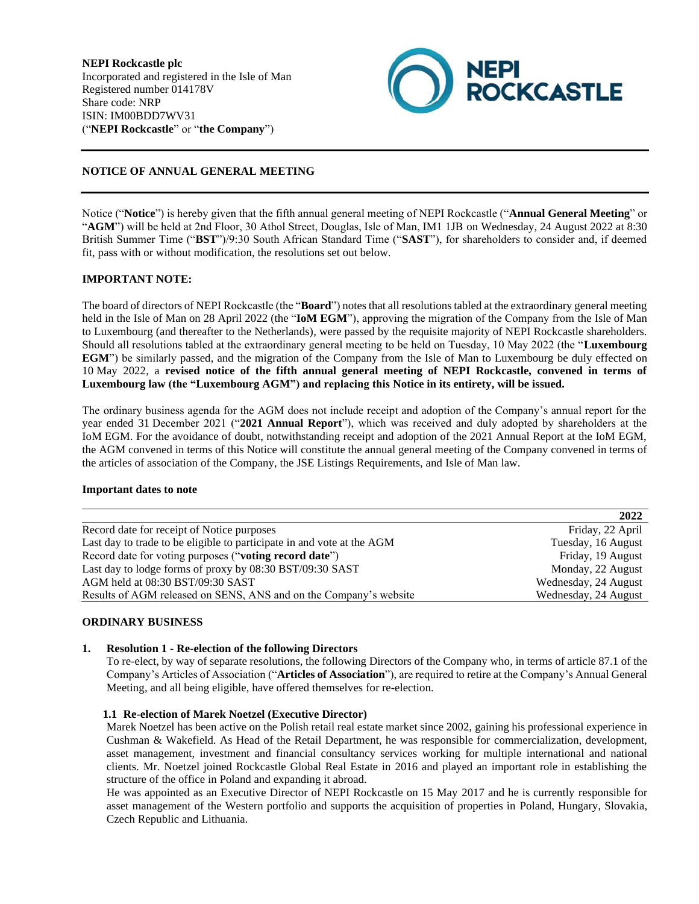**NEPI Rockcastle plc** Incorporated and registered in the Isle of Man Registered number 014178V Share code: NRP ISIN: IM00BDD7WV31 ("**NEPI Rockcastle**" or "**the Company**")



# **NOTICE OF ANNUAL GENERAL MEETING**

Notice ("**Notice**") is hereby given that the fifth annual general meeting of NEPI Rockcastle ("**Annual General Meeting**" or "**AGM**") will be held at 2nd Floor, 30 Athol Street, Douglas, Isle of Man, IM1 1JB on Wednesday, 24 August 2022 at 8:30 British Summer Time ("**BST**")/9:30 South African Standard Time ("**SAST**"), for shareholders to consider and, if deemed fit, pass with or without modification, the resolutions set out below.

# **IMPORTANT NOTE:**

The board of directors of NEPI Rockcastle (the "**Board**") notes that all resolutions tabled at the extraordinary general meeting held in the Isle of Man on 28 April 2022 (the "**IoM EGM**"), approving the migration of the Company from the Isle of Man to Luxembourg (and thereafter to the Netherlands), were passed by the requisite majority of NEPI Rockcastle shareholders. Should all resolutions tabled at the extraordinary general meeting to be held on Tuesday, 10 May 2022 (the "**Luxembourg EGM**") be similarly passed, and the migration of the Company from the Isle of Man to Luxembourg be duly effected on 10 May 2022, a **revised notice of the fifth annual general meeting of NEPI Rockcastle, convened in terms of Luxembourg law (the "Luxembourg AGM") and replacing this Notice in its entirety, will be issued.**

The ordinary business agenda for the AGM does not include receipt and adoption of the Company's annual report for the year ended 31 December 2021 ("**2021 Annual Report**"), which was received and duly adopted by shareholders at the IoM EGM. For the avoidance of doubt, notwithstanding receipt and adoption of the 2021 Annual Report at the IoM EGM, the AGM convened in terms of this Notice will constitute the annual general meeting of the Company convened in terms of the articles of association of the Company, the JSE Listings Requirements, and Isle of Man law.

### **Important dates to note**

|                                                                        | 2022                 |
|------------------------------------------------------------------------|----------------------|
| Record date for receipt of Notice purposes                             | Friday, 22 April     |
| Last day to trade to be eligible to participate in and vote at the AGM | Tuesday, 16 August   |
| Record date for voting purposes ("voting record date")                 | Friday, 19 August    |
| Last day to lodge forms of proxy by 08:30 BST/09:30 SAST               | Monday, 22 August    |
| AGM held at 08:30 BST/09:30 SAST                                       | Wednesday, 24 August |
| Results of AGM released on SENS, ANS and on the Company's website      | Wednesday, 24 August |

# **ORDINARY BUSINESS**

### **1. Resolution 1 - Re-election of the following Directors**

To re-elect, by way of separate resolutions, the following Directors of the Company who, in terms of article 87.1 of the Company's Articles of Association ("**Articles of Association**"), are required to retire at the Company's Annual General Meeting, and all being eligible, have offered themselves for re-election.

### **1.1 Re-election of Marek Noetzel (Executive Director)**

Marek Noetzel has been active on the Polish retail real estate market since 2002, gaining his professional experience in Cushman & Wakefield. As Head of the Retail Department, he was responsible for commercialization, development, asset management, investment and financial consultancy services working for multiple international and national clients. Mr. Noetzel joined Rockcastle Global Real Estate in 2016 and played an important role in establishing the structure of the office in Poland and expanding it abroad.

He was appointed as an Executive Director of NEPI Rockcastle on 15 May 2017 and he is currently responsible for asset management of the Western portfolio and supports the acquisition of properties in Poland, Hungary, Slovakia, Czech Republic and Lithuania.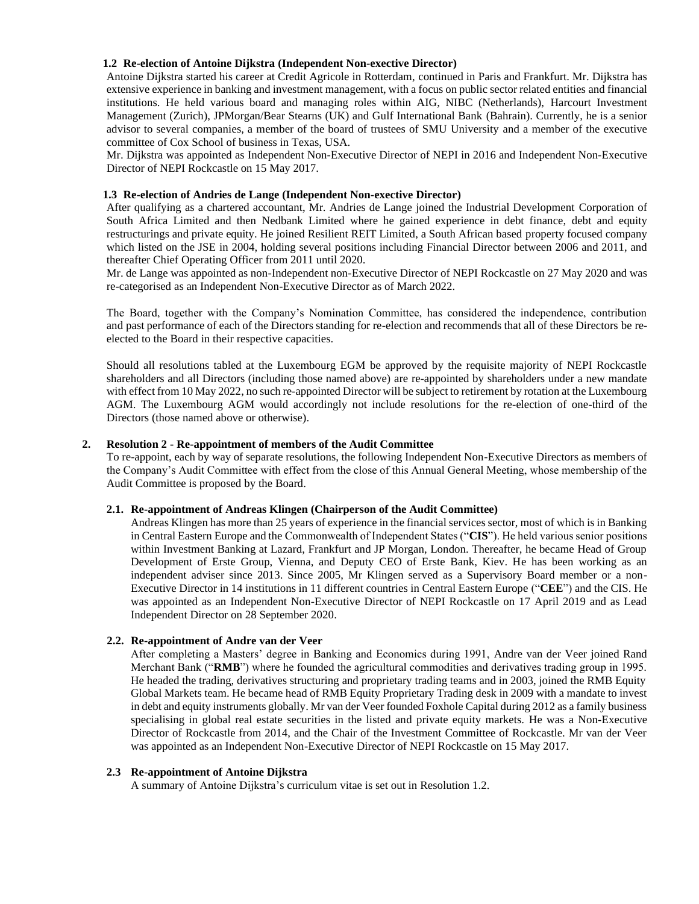## **1.2 Re-election of Antoine Dijkstra (Independent Non-exective Director)**

Antoine Dijkstra started his career at Credit Agricole in Rotterdam, continued in Paris and Frankfurt. Mr. Dijkstra has extensive experience in banking and investment management, with a focus on public sector related entities and financial institutions. He held various board and managing roles within AIG, NIBC (Netherlands), Harcourt Investment Management (Zurich), JPMorgan/Bear Stearns (UK) and Gulf International Bank (Bahrain). Currently, he is a senior advisor to several companies, a member of the board of trustees of SMU University and a member of the executive committee of Cox School of business in Texas, USA.

Mr. Dijkstra was appointed as Independent Non-Executive Director of NEPI in 2016 and Independent Non-Executive Director of NEPI Rockcastle on 15 May 2017.

## **1.3 Re-election of Andries de Lange (Independent Non-exective Director)**

After qualifying as a chartered accountant, Mr. Andries de Lange joined the Industrial Development Corporation of South Africa Limited and then Nedbank Limited where he gained experience in debt finance, debt and equity restructurings and private equity. He joined Resilient REIT Limited, a South African based property focused company which listed on the JSE in 2004, holding several positions including Financial Director between 2006 and 2011, and thereafter Chief Operating Officer from 2011 until 2020.

Mr. de Lange was appointed as non-Independent non-Executive Director of NEPI Rockcastle on 27 May 2020 and was re-categorised as an Independent Non-Executive Director as of March 2022.

The Board, together with the Company's Nomination Committee, has considered the independence, contribution and past performance of each of the Directors standing for re-election and recommends that all of these Directors be reelected to the Board in their respective capacities.

Should all resolutions tabled at the Luxembourg EGM be approved by the requisite majority of NEPI Rockcastle shareholders and all Directors (including those named above) are re-appointed by shareholders under a new mandate with effect from 10 May 2022, no such re-appointed Director will be subject to retirement by rotation at the Luxembourg AGM. The Luxembourg AGM would accordingly not include resolutions for the re-election of one-third of the Directors (those named above or otherwise).

### **2. Resolution 2 - Re-appointment of members of the Audit Committee**

To re-appoint, each by way of separate resolutions, the following Independent Non-Executive Directors as members of the Company's Audit Committee with effect from the close of this Annual General Meeting, whose membership of the Audit Committee is proposed by the Board.

### **2.1. Re-appointment of Andreas Klingen (Chairperson of the Audit Committee)**

Andreas Klingen has more than 25 years of experience in the financial services sector, most of which is in Banking in Central Eastern Europe and the Commonwealth of Independent States ("**CIS**"). He held various senior positions within Investment Banking at Lazard, Frankfurt and JP Morgan, London. Thereafter, he became Head of Group Development of Erste Group, Vienna, and Deputy CEO of Erste Bank, Kiev. He has been working as an independent adviser since 2013. Since 2005, Mr Klingen served as a Supervisory Board member or a non-Executive Director in 14 institutions in 11 different countries in Central Eastern Europe ("**CEE**") and the CIS. He was appointed as an Independent Non-Executive Director of NEPI Rockcastle on 17 April 2019 and as Lead Independent Director on 28 September 2020.

# **2.2. Re-appointment of Andre van der Veer**

After completing a Masters' degree in Banking and Economics during 1991, Andre van der Veer joined Rand Merchant Bank ("**RMB**") where he founded the agricultural commodities and derivatives trading group in 1995. He headed the trading, derivatives structuring and proprietary trading teams and in 2003, joined the RMB Equity Global Markets team. He became head of RMB Equity Proprietary Trading desk in 2009 with a mandate to invest in debt and equity instruments globally. Mr van der Veer founded Foxhole Capital during 2012 as a family business specialising in global real estate securities in the listed and private equity markets. He was a Non-Executive Director of Rockcastle from 2014, and the Chair of the Investment Committee of Rockcastle. Mr van der Veer was appointed as an Independent Non-Executive Director of NEPI Rockcastle on 15 May 2017.

### **2.3 Re-appointment of Antoine Dijkstra**

A summary of Antoine Dijkstra's curriculum vitae is set out in Resolution 1.2.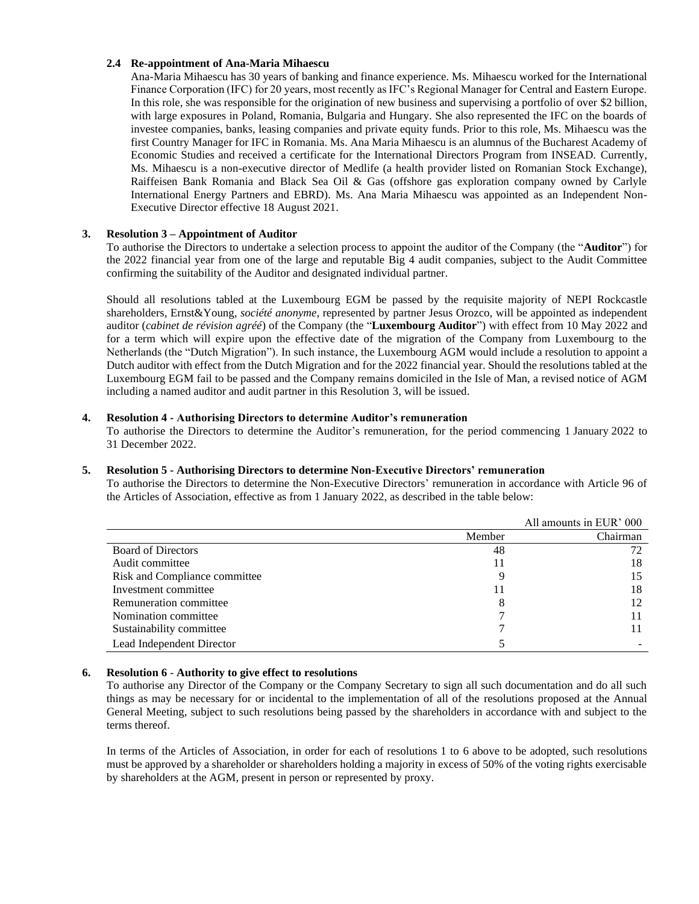## **2.4 Re-appointment of Ana-Maria Mihaescu**

Ana-Maria Mihaescu has 30 years of banking and finance experience. Ms. Mihaescu worked for the International Finance Corporation (IFC) for 20 years, most recently as IFC's Regional Manager for Central and Eastern Europe. In this role, she was responsible for the origination of new business and supervising a portfolio of over \$2 billion, with large exposures in Poland, Romania, Bulgaria and Hungary. She also represented the IFC on the boards of investee companies, banks, leasing companies and private equity funds. Prior to this role, Ms. Mihaescu was the first Country Manager for IFC in Romania. Ms. Ana Maria Mihaescu is an alumnus of the Bucharest Academy of Economic Studies and received a certificate for the International Directors Program from INSEAD. Currently, Ms. Mihaescu is a non-executive director of Medlife (a health provider listed on Romanian Stock Exchange), Raiffeisen Bank Romania and Black Sea Oil & Gas (offshore gas exploration company owned by Carlyle International Energy Partners and EBRD). Ms. Ana Maria Mihaescu was appointed as an Independent Non-Executive Director effective 18 August 2021.

## **3. Resolution 3 – Appointment of Auditor**

To authorise the Directors to undertake a selection process to appoint the auditor of the Company (the "**Auditor**") for the 2022 financial year from one of the large and reputable Big 4 audit companies, subject to the Audit Committee confirming the suitability of the Auditor and designated individual partner.

Should all resolutions tabled at the Luxembourg EGM be passed by the requisite majority of NEPI Rockcastle shareholders, Ernst&Young, *société anonyme*, represented by partner Jesus Orozco, will be appointed as independent auditor (*cabinet de révision agréé*) of the Company (the "**Luxembourg Auditor**") with effect from 10 May 2022 and for a term which will expire upon the effective date of the migration of the Company from Luxembourg to the Netherlands (the "Dutch Migration"). In such instance, the Luxembourg AGM would include a resolution to appoint a Dutch auditor with effect from the Dutch Migration and for the 2022 financial year. Should the resolutions tabled at the Luxembourg EGM fail to be passed and the Company remains domiciled in the Isle of Man, a revised notice of AGM including a named auditor and audit partner in this Resolution 3, will be issued.

### **4. Resolution 4 - Authorising Directors to determine Auditor's remuneration**

To authorise the Directors to determine the Auditor's remuneration, for the period commencing 1 January 2022 to 31 December 2022.

## **5. Resolution 5 - Authorising Directors to determine Non-Executive Directors' remuneration**

To authorise the Directors to determine the Non-Executive Directors' remuneration in accordance with Article 96 of the Articles of Association, effective as from 1 January 2022, as described in the table below:

|                               |        | All amounts in EUR' 000 |
|-------------------------------|--------|-------------------------|
|                               | Member | Chairman                |
| <b>Board of Directors</b>     | 48     |                         |
| Audit committee               | 11     | 18                      |
| Risk and Compliance committee | Q      |                         |
| Investment committee          | 11     | 18                      |
| Remuneration committee        |        | 12                      |
| Nomination committee          |        |                         |
| Sustainability committee      |        |                         |
| Lead Independent Director     |        |                         |

### **6. Resolution 6** - **Authority to give effect to resolutions**

To authorise any Director of the Company or the Company Secretary to sign all such documentation and do all such things as may be necessary for or incidental to the implementation of all of the resolutions proposed at the Annual General Meeting, subject to such resolutions being passed by the shareholders in accordance with and subject to the terms thereof.

In terms of the Articles of Association, in order for each of resolutions 1 to 6 above to be adopted, such resolutions must be approved by a shareholder or shareholders holding a majority in excess of 50% of the voting rights exercisable by shareholders at the AGM, present in person or represented by proxy.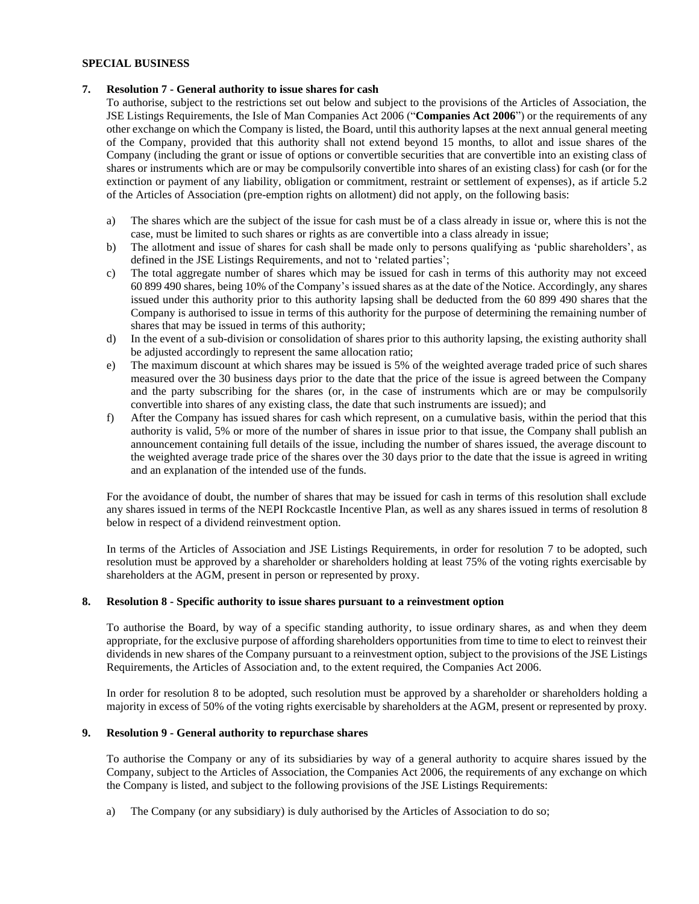## **SPECIAL BUSINESS**

### **7. Resolution 7 - General authority to issue shares for cash**

To authorise, subject to the restrictions set out below and subject to the provisions of the Articles of Association, the JSE Listings Requirements, the Isle of Man Companies Act 2006 ("**Companies Act 2006**") or the requirements of any other exchange on which the Company is listed, the Board, until this authority lapses at the next annual general meeting of the Company, provided that this authority shall not extend beyond 15 months, to allot and issue shares of the Company (including the grant or issue of options or convertible securities that are convertible into an existing class of shares or instruments which are or may be compulsorily convertible into shares of an existing class) for cash (or for the extinction or payment of any liability, obligation or commitment, restraint or settlement of expenses), as if article 5.2 of the Articles of Association (pre-emption rights on allotment) did not apply, on the following basis:

- a) The shares which are the subject of the issue for cash must be of a class already in issue or, where this is not the case, must be limited to such shares or rights as are convertible into a class already in issue;
- b) The allotment and issue of shares for cash shall be made only to persons qualifying as 'public shareholders', as defined in the JSE Listings Requirements, and not to 'related parties';
- c) The total aggregate number of shares which may be issued for cash in terms of this authority may not exceed 60 899 490 shares, being 10% of the Company's issued shares as at the date of the Notice. Accordingly, any shares issued under this authority prior to this authority lapsing shall be deducted from the 60 899 490 shares that the Company is authorised to issue in terms of this authority for the purpose of determining the remaining number of shares that may be issued in terms of this authority;
- d) In the event of a sub-division or consolidation of shares prior to this authority lapsing, the existing authority shall be adjusted accordingly to represent the same allocation ratio;
- e) The maximum discount at which shares may be issued is 5% of the weighted average traded price of such shares measured over the 30 business days prior to the date that the price of the issue is agreed between the Company and the party subscribing for the shares (or, in the case of instruments which are or may be compulsorily convertible into shares of any existing class, the date that such instruments are issued); and
- f) After the Company has issued shares for cash which represent, on a cumulative basis, within the period that this authority is valid, 5% or more of the number of shares in issue prior to that issue, the Company shall publish an announcement containing full details of the issue, including the number of shares issued, the average discount to the weighted average trade price of the shares over the 30 days prior to the date that the issue is agreed in writing and an explanation of the intended use of the funds.

For the avoidance of doubt, the number of shares that may be issued for cash in terms of this resolution shall exclude any shares issued in terms of the NEPI Rockcastle Incentive Plan, as well as any shares issued in terms of resolution 8 below in respect of a dividend reinvestment option.

In terms of the Articles of Association and JSE Listings Requirements, in order for resolution 7 to be adopted, such resolution must be approved by a shareholder or shareholders holding at least 75% of the voting rights exercisable by shareholders at the AGM, present in person or represented by proxy.

## **8. Resolution 8 - Specific authority to issue shares pursuant to a reinvestment option**

To authorise the Board, by way of a specific standing authority, to issue ordinary shares, as and when they deem appropriate, for the exclusive purpose of affording shareholders opportunities from time to time to elect to reinvest their dividends in new shares of the Company pursuant to a reinvestment option, subject to the provisions of the JSE Listings Requirements, the Articles of Association and, to the extent required, the Companies Act 2006.

In order for resolution 8 to be adopted, such resolution must be approved by a shareholder or shareholders holding a majority in excess of 50% of the voting rights exercisable by shareholders at the AGM, present or represented by proxy.

### **9. Resolution 9 - General authority to repurchase shares**

To authorise the Company or any of its subsidiaries by way of a general authority to acquire shares issued by the Company, subject to the Articles of Association, the Companies Act 2006, the requirements of any exchange on which the Company is listed, and subject to the following provisions of the JSE Listings Requirements:

a) The Company (or any subsidiary) is duly authorised by the Articles of Association to do so;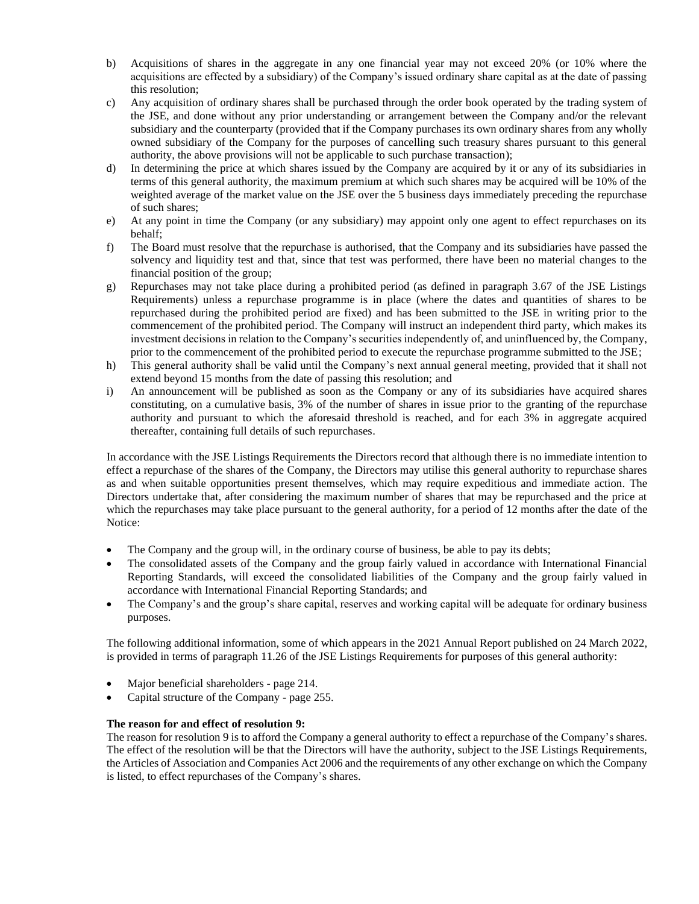- b) Acquisitions of shares in the aggregate in any one financial year may not exceed 20% (or 10% where the acquisitions are effected by a subsidiary) of the Company's issued ordinary share capital as at the date of passing this resolution;
- c) Any acquisition of ordinary shares shall be purchased through the order book operated by the trading system of the JSE, and done without any prior understanding or arrangement between the Company and/or the relevant subsidiary and the counterparty (provided that if the Company purchases its own ordinary shares from any wholly owned subsidiary of the Company for the purposes of cancelling such treasury shares pursuant to this general authority, the above provisions will not be applicable to such purchase transaction);
- d) In determining the price at which shares issued by the Company are acquired by it or any of its subsidiaries in terms of this general authority, the maximum premium at which such shares may be acquired will be 10% of the weighted average of the market value on the JSE over the 5 business days immediately preceding the repurchase of such shares;
- e) At any point in time the Company (or any subsidiary) may appoint only one agent to effect repurchases on its behalf;
- f) The Board must resolve that the repurchase is authorised, that the Company and its subsidiaries have passed the solvency and liquidity test and that, since that test was performed, there have been no material changes to the financial position of the group;
- g) Repurchases may not take place during a prohibited period (as defined in paragraph 3.67 of the JSE Listings Requirements) unless a repurchase programme is in place (where the dates and quantities of shares to be repurchased during the prohibited period are fixed) and has been submitted to the JSE in writing prior to the commencement of the prohibited period. The Company will instruct an independent third party, which makes its investment decisions in relation to the Company's securities independently of, and uninfluenced by, the Company, prior to the commencement of the prohibited period to execute the repurchase programme submitted to the JSE;
- h) This general authority shall be valid until the Company's next annual general meeting, provided that it shall not extend beyond 15 months from the date of passing this resolution; and
- i) An announcement will be published as soon as the Company or any of its subsidiaries have acquired shares constituting, on a cumulative basis, 3% of the number of shares in issue prior to the granting of the repurchase authority and pursuant to which the aforesaid threshold is reached, and for each 3% in aggregate acquired thereafter, containing full details of such repurchases.

In accordance with the JSE Listings Requirements the Directors record that although there is no immediate intention to effect a repurchase of the shares of the Company, the Directors may utilise this general authority to repurchase shares as and when suitable opportunities present themselves, which may require expeditious and immediate action. The Directors undertake that, after considering the maximum number of shares that may be repurchased and the price at which the repurchases may take place pursuant to the general authority, for a period of 12 months after the date of the Notice:

- The Company and the group will, in the ordinary course of business, be able to pay its debts;
- The consolidated assets of the Company and the group fairly valued in accordance with International Financial Reporting Standards, will exceed the consolidated liabilities of the Company and the group fairly valued in accordance with International Financial Reporting Standards; and
- The Company's and the group's share capital, reserves and working capital will be adequate for ordinary business purposes.

The following additional information, some of which appears in the 2021 Annual Report published on 24 March 2022, is provided in terms of paragraph 11.26 of the JSE Listings Requirements for purposes of this general authority:

- Major beneficial shareholders page 214.
- Capital structure of the Company page 255.

# **The reason for and effect of resolution 9:**

The reason for resolution 9 is to afford the Company a general authority to effect a repurchase of the Company's shares. The effect of the resolution will be that the Directors will have the authority, subject to the JSE Listings Requirements, the Articles of Association and Companies Act 2006 and the requirements of any other exchange on which the Company is listed, to effect repurchases of the Company's shares.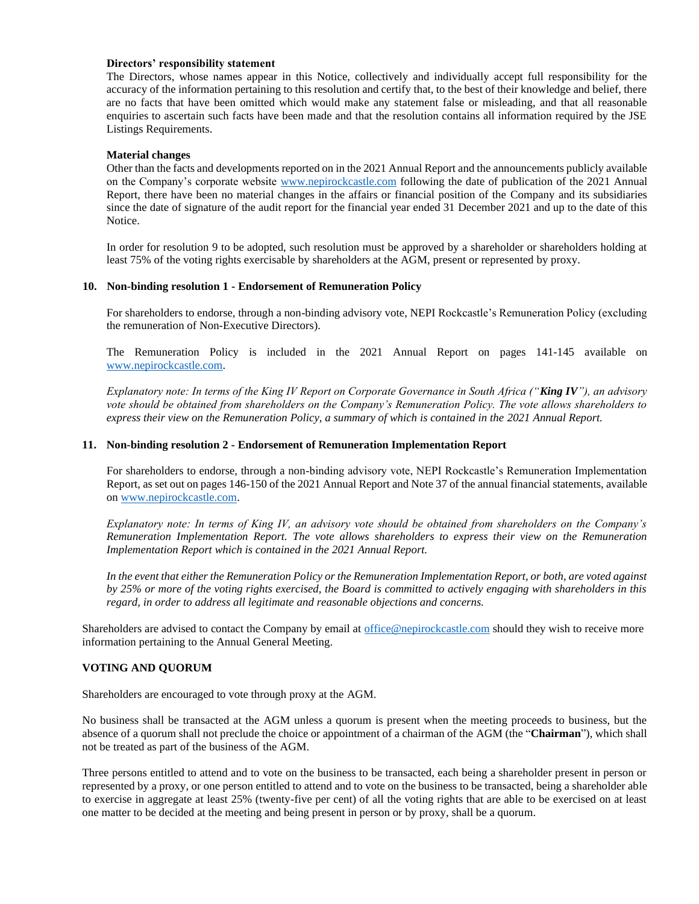### **Directors' responsibility statement**

The Directors, whose names appear in this Notice, collectively and individually accept full responsibility for the accuracy of the information pertaining to this resolution and certify that, to the best of their knowledge and belief, there are no facts that have been omitted which would make any statement false or misleading, and that all reasonable enquiries to ascertain such facts have been made and that the resolution contains all information required by the JSE Listings Requirements.

### **Material changes**

Other than the facts and developments reported on in the 2021 Annual Report and the announcements publicly available on the Company's corporate website [www.nepirockcastle.com](http://www.nepirockcastle.com/) following the date of publication of the 2021 Annual Report, there have been no material changes in the affairs or financial position of the Company and its subsidiaries since the date of signature of the audit report for the financial year ended 31 December 2021 and up to the date of this Notice.

In order for resolution 9 to be adopted, such resolution must be approved by a shareholder or shareholders holding at least 75% of the voting rights exercisable by shareholders at the AGM, present or represented by proxy.

### **10. Non-binding resolution 1 - Endorsement of Remuneration Policy**

For shareholders to endorse, through a non-binding advisory vote, NEPI Rockcastle's Remuneration Policy (excluding the remuneration of Non-Executive Directors).

The Remuneration Policy is included in the 2021 Annual Report on pages 141-145 available on [www.nepirockcastle.com.](http://www.nepirockcastle.com/)

*Explanatory note: In terms of the King IV Report on Corporate Governance in South Africa ("King IV"), an advisory vote should be obtained from shareholders on the Company's Remuneration Policy. The vote allows shareholders to express their view on the Remuneration Policy, a summary of which is contained in the 2021 Annual Report.*

## **11. Non-binding resolution 2 - Endorsement of Remuneration Implementation Report**

For shareholders to endorse, through a non-binding advisory vote, NEPI Rockcastle's Remuneration Implementation Report, as set out on pages 146-150 of the 2021 Annual Report and Note 37 of the annual financial statements, available on [www.nepirockcastle.com.](http://www.nepirockcastle.com/)

*Explanatory note: In terms of King IV, an advisory vote should be obtained from shareholders on the Company's Remuneration Implementation Report. The vote allows shareholders to express their view on the Remuneration Implementation Report which is contained in the 2021 Annual Report.* 

*In the event that either the Remuneration Policy or the Remuneration Implementation Report, or both, are voted against by 25% or more of the voting rights exercised, the Board is committed to actively engaging with shareholders in this regard, in order to address all legitimate and reasonable objections and concerns.*

Shareholders are advised to contact the Company by email at [office@nepirockcastle.com](mailto:officeiom@nepirockcastle.com) should they wish to receive more information pertaining to the Annual General Meeting.

# **VOTING AND QUORUM**

Shareholders are encouraged to vote through proxy at the AGM.

No business shall be transacted at the AGM unless a quorum is present when the meeting proceeds to business, but the absence of a quorum shall not preclude the choice or appointment of a chairman of the AGM (the "**Chairman**"), which shall not be treated as part of the business of the AGM.

Three persons entitled to attend and to vote on the business to be transacted, each being a shareholder present in person or represented by a proxy, or one person entitled to attend and to vote on the business to be transacted, being a shareholder able to exercise in aggregate at least 25% (twenty-five per cent) of all the voting rights that are able to be exercised on at least one matter to be decided at the meeting and being present in person or by proxy, shall be a quorum.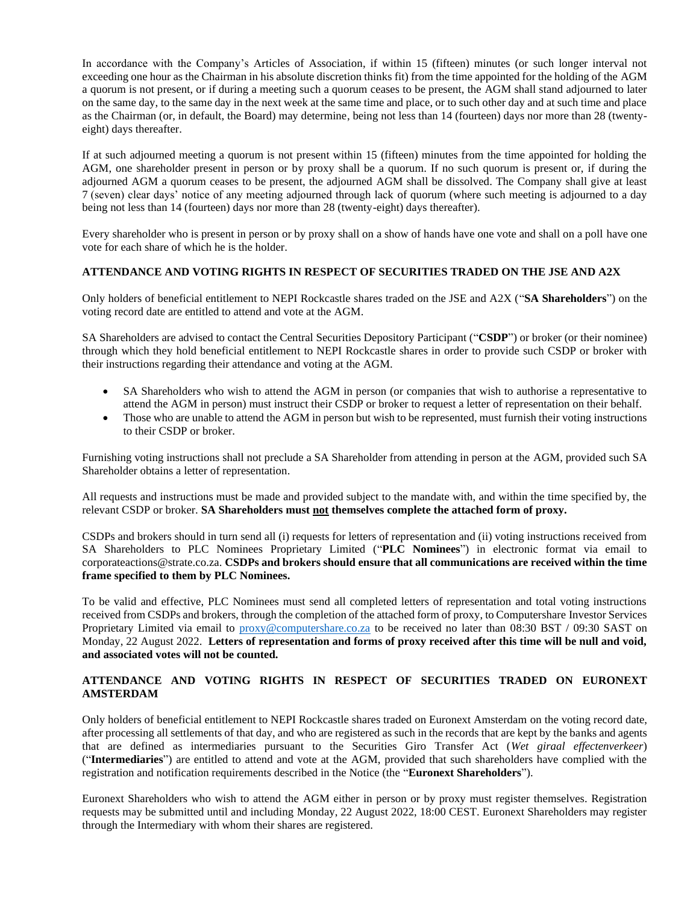In accordance with the Company's Articles of Association, if within 15 (fifteen) minutes (or such longer interval not exceeding one hour as the Chairman in his absolute discretion thinks fit) from the time appointed for the holding of the AGM a quorum is not present, or if during a meeting such a quorum ceases to be present, the AGM shall stand adjourned to later on the same day, to the same day in the next week at the same time and place, or to such other day and at such time and place as the Chairman (or, in default, the Board) may determine, being not less than 14 (fourteen) days nor more than 28 (twentyeight) days thereafter.

If at such adjourned meeting a quorum is not present within 15 (fifteen) minutes from the time appointed for holding the AGM, one shareholder present in person or by proxy shall be a quorum. If no such quorum is present or, if during the adjourned AGM a quorum ceases to be present, the adjourned AGM shall be dissolved. The Company shall give at least 7 (seven) clear days' notice of any meeting adjourned through lack of quorum (where such meeting is adjourned to a day being not less than 14 (fourteen) days nor more than 28 (twenty-eight) days thereafter).

Every shareholder who is present in person or by proxy shall on a show of hands have one vote and shall on a poll have one vote for each share of which he is the holder.

### **ATTENDANCE AND VOTING RIGHTS IN RESPECT OF SECURITIES TRADED ON THE JSE AND A2X**

Only holders of beneficial entitlement to NEPI Rockcastle shares traded on the JSE and A2X ("**SA Shareholders**") on the voting record date are entitled to attend and vote at the AGM.

SA Shareholders are advised to contact the Central Securities Depository Participant ("**CSDP**") or broker (or their nominee) through which they hold beneficial entitlement to NEPI Rockcastle shares in order to provide such CSDP or broker with their instructions regarding their attendance and voting at the AGM.

- SA Shareholders who wish to attend the AGM in person (or companies that wish to authorise a representative to attend the AGM in person) must instruct their CSDP or broker to request a letter of representation on their behalf.
- Those who are unable to attend the AGM in person but wish to be represented, must furnish their voting instructions to their CSDP or broker.

Furnishing voting instructions shall not preclude a SA Shareholder from attending in person at the AGM, provided such SA Shareholder obtains a letter of representation.

All requests and instructions must be made and provided subject to the mandate with, and within the time specified by, the relevant CSDP or broker. **SA Shareholders must not themselves complete the attached form of proxy.**

CSDPs and brokers should in turn send all (i) requests for letters of representation and (ii) voting instructions received from SA Shareholders to PLC Nominees Proprietary Limited ("**PLC Nominees**") in electronic format via email to corporateactions@strate.co.za. **CSDPs and brokers should ensure that all communications are received within the time frame specified to them by PLC Nominees.** 

To be valid and effective, PLC Nominees must send all completed letters of representation and total voting instructions received from CSDPs and brokers, through the completion of the attached form of proxy, to Computershare Investor Services Proprietary Limited via email to [proxy@computershare.co.za](mailto:proxy@computershare.co.za) to be received no later than 08:30 BST / 09:30 SAST on Monday, 22 August 2022. **Letters of representation and forms of proxy received after this time will be null and void, and associated votes will not be counted.**

# **ATTENDANCE AND VOTING RIGHTS IN RESPECT OF SECURITIES TRADED ON EURONEXT AMSTERDAM**

Only holders of beneficial entitlement to NEPI Rockcastle shares traded on Euronext Amsterdam on the voting record date, after processing all settlements of that day, and who are registered as such in the records that are kept by the banks and agents that are defined as intermediaries pursuant to the Securities Giro Transfer Act (*Wet giraal effectenverkeer*) ("**Intermediaries**") are entitled to attend and vote at the AGM, provided that such shareholders have complied with the registration and notification requirements described in the Notice (the "**Euronext Shareholders**").

Euronext Shareholders who wish to attend the AGM either in person or by proxy must register themselves. Registration requests may be submitted until and including Monday, 22 August 2022, 18:00 CEST. Euronext Shareholders may register through the Intermediary with whom their shares are registered.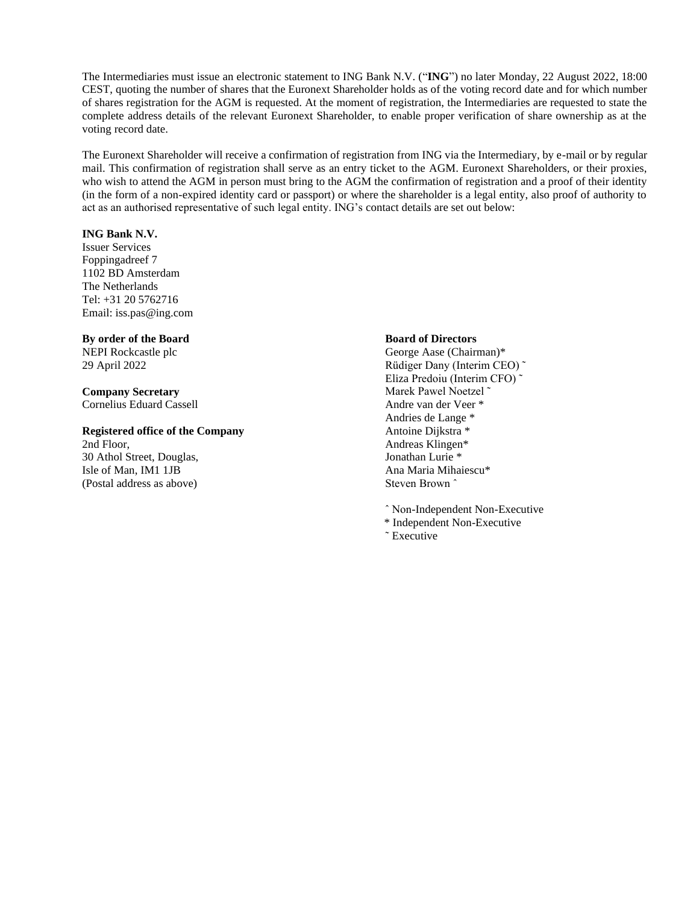The Intermediaries must issue an electronic statement to ING Bank N.V. ("**ING**") no later Monday, 22 August 2022, 18:00 CEST, quoting the number of shares that the Euronext Shareholder holds as of the voting record date and for which number of shares registration for the AGM is requested. At the moment of registration, the Intermediaries are requested to state the complete address details of the relevant Euronext Shareholder, to enable proper verification of share ownership as at the voting record date.

The Euronext Shareholder will receive a confirmation of registration from ING via the Intermediary, by e-mail or by regular mail. This confirmation of registration shall serve as an entry ticket to the AGM. Euronext Shareholders, or their proxies, who wish to attend the AGM in person must bring to the AGM the confirmation of registration and a proof of their identity (in the form of a non-expired identity card or passport) or where the shareholder is a legal entity, also proof of authority to act as an authorised representative of such legal entity. ING's contact details are set out below:

### **ING Bank N.V.**

Issuer Services Foppingadreef 7 1102 BD Amsterdam The Netherlands Tel: +31 20 5762716 Email: iss.pas@ing.com

**By order of the Board** NEPI Rockcastle plc

29 April 2022

**Company Secretary** Cornelius Eduard Cassell

**Registered office of the Company** 2nd Floor, 30 Athol Street, Douglas, Isle of Man, IM1 1JB (Postal address as above)

### **Board of Directors**

George Aase (Chairman)\* Rüdiger Dany (Interim CEO) ˜ Eliza Predoiu (Interim CFO) ˜ Marek Pawel Noetzel ˜ Andre van der Veer \* Andries de Lange \* Antoine Dijkstra \* Andreas Klingen\* Jonathan Lurie \* Ana Maria Mihaiescu\* Steven Brown ˆ

ˆ Non-Independent Non-Executive

- \* Independent Non-Executive
- ˜ Executive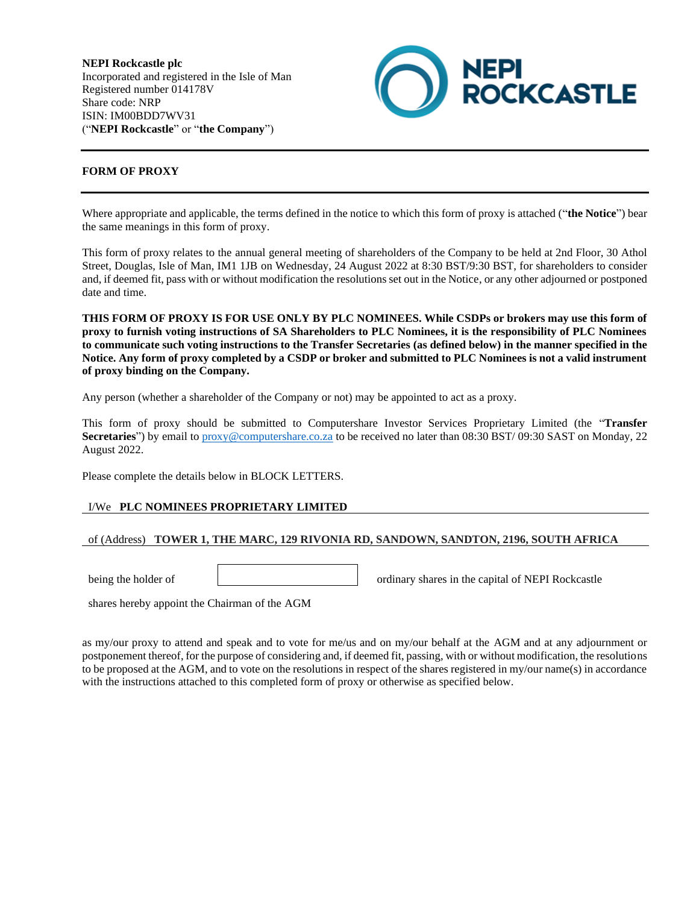**NEPI Rockcastle plc** Incorporated and registered in the Isle of Man Registered number 014178V Share code: NRP ISIN: IM00BDD7WV31 ("**NEPI Rockcastle**" or "**the Company**")



# **FORM OF PROXY**

Where appropriate and applicable, the terms defined in the notice to which this form of proxy is attached ("**the Notice**") bear the same meanings in this form of proxy.

This form of proxy relates to the annual general meeting of shareholders of the Company to be held at 2nd Floor, 30 Athol Street, Douglas, Isle of Man, IM1 1JB on Wednesday, 24 August 2022 at 8:30 BST/9:30 BST, for shareholders to consider and, if deemed fit, pass with or without modification the resolutions set out in the Notice, or any other adjourned or postponed date and time.

**THIS FORM OF PROXY IS FOR USE ONLY BY PLC NOMINEES. While CSDPs or brokers may use this form of proxy to furnish voting instructions of SA Shareholders to PLC Nominees, it is the responsibility of PLC Nominees to communicate such voting instructions to the Transfer Secretaries (as defined below) in the manner specified in the Notice. Any form of proxy completed by a CSDP or broker and submitted to PLC Nominees is not a valid instrument of proxy binding on the Company.** 

Any person (whether a shareholder of the Company or not) may be appointed to act as a proxy.

This form of proxy should be submitted to Computershare Investor Services Proprietary Limited (the "**Transfer Secretaries**") by email to [proxy@computershare.co.za](mailto:proxy@computershare.co.za) to be received no later than 08:30 BST/ 09:30 SAST on Monday, 22 August 2022.

Please complete the details below in BLOCK LETTERS.

### I/We **PLC NOMINEES PROPRIETARY LIMITED**

### of (Address) **TOWER 1, THE MARC, 129 RIVONIA RD, SANDOWN, SANDTON, 2196, SOUTH AFRICA**

being the holder of ordinary shares in the capital of NEPI Rockcastle

shares hereby appoint the Chairman of the AGM

as my/our proxy to attend and speak and to vote for me/us and on my/our behalf at the AGM and at any adjournment or postponement thereof, for the purpose of considering and, if deemed fit, passing, with or without modification, the resolutions to be proposed at the AGM, and to vote on the resolutions in respect of the shares registered in my/our name(s) in accordance with the instructions attached to this completed form of proxy or otherwise as specified below.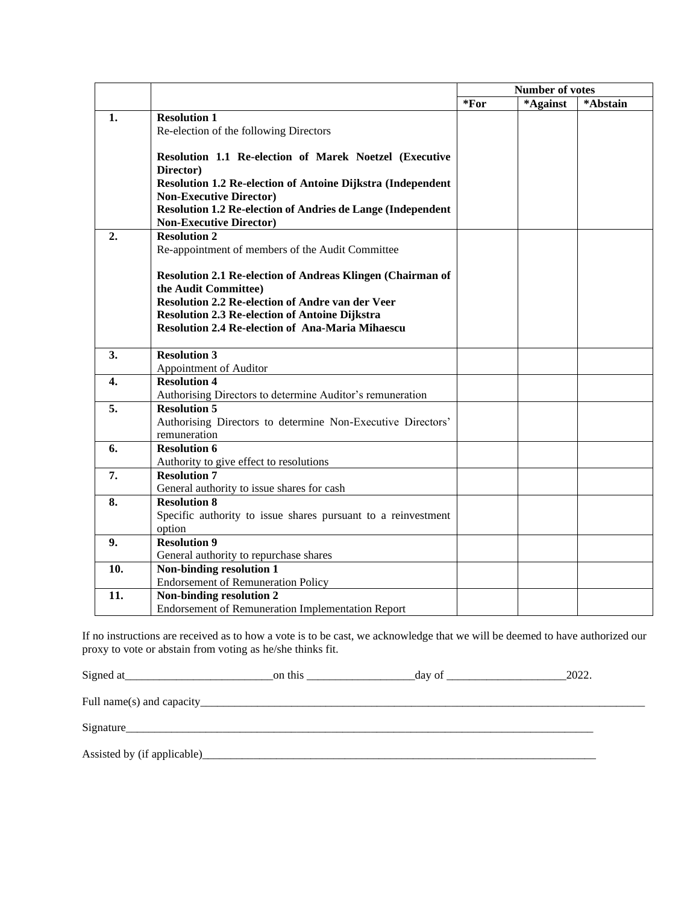|     |                                                                                               | Number of votes |          |          |
|-----|-----------------------------------------------------------------------------------------------|-----------------|----------|----------|
|     |                                                                                               | *For            | *Against | *Abstain |
| 1.  | <b>Resolution 1</b>                                                                           |                 |          |          |
|     | Re-election of the following Directors                                                        |                 |          |          |
|     |                                                                                               |                 |          |          |
|     | Resolution 1.1 Re-election of Marek Noetzel (Executive                                        |                 |          |          |
|     | Director)                                                                                     |                 |          |          |
|     | Resolution 1.2 Re-election of Antoine Dijkstra (Independent                                   |                 |          |          |
|     | <b>Non-Executive Director)</b><br>Resolution 1.2 Re-election of Andries de Lange (Independent |                 |          |          |
|     | <b>Non-Executive Director)</b>                                                                |                 |          |          |
| 2.  | <b>Resolution 2</b>                                                                           |                 |          |          |
|     | Re-appointment of members of the Audit Committee                                              |                 |          |          |
|     |                                                                                               |                 |          |          |
|     | Resolution 2.1 Re-election of Andreas Klingen (Chairman of                                    |                 |          |          |
|     | the Audit Committee)                                                                          |                 |          |          |
|     | Resolution 2.2 Re-election of Andre van der Veer                                              |                 |          |          |
|     | <b>Resolution 2.3 Re-election of Antoine Dijkstra</b>                                         |                 |          |          |
|     | <b>Resolution 2.4 Re-election of Ana-Maria Mihaescu</b>                                       |                 |          |          |
|     |                                                                                               |                 |          |          |
| 3.  | <b>Resolution 3</b>                                                                           |                 |          |          |
|     | Appointment of Auditor                                                                        |                 |          |          |
| 4.  | <b>Resolution 4</b>                                                                           |                 |          |          |
|     | Authorising Directors to determine Auditor's remuneration                                     |                 |          |          |
| 5.  | <b>Resolution 5</b>                                                                           |                 |          |          |
|     | Authorising Directors to determine Non-Executive Directors'                                   |                 |          |          |
|     | remuneration                                                                                  |                 |          |          |
| 6.  | <b>Resolution 6</b>                                                                           |                 |          |          |
|     | Authority to give effect to resolutions                                                       |                 |          |          |
| 7.  | <b>Resolution 7</b>                                                                           |                 |          |          |
| 8.  | General authority to issue shares for cash<br><b>Resolution 8</b>                             |                 |          |          |
|     | Specific authority to issue shares pursuant to a reinvestment                                 |                 |          |          |
|     | option                                                                                        |                 |          |          |
| 9.  | <b>Resolution 9</b>                                                                           |                 |          |          |
|     | General authority to repurchase shares                                                        |                 |          |          |
| 10. | Non-binding resolution 1                                                                      |                 |          |          |
|     | <b>Endorsement of Remuneration Policy</b>                                                     |                 |          |          |
| 11. | Non-binding resolution 2                                                                      |                 |          |          |
|     | <b>Endorsement of Remuneration Implementation Report</b>                                      |                 |          |          |

If no instructions are received as to how a vote is to be cast, we acknowledge that we will be deemed to have authorized our proxy to vote or abstain from voting as he/she thinks fit.

| Signed at                    | on this | day of | 2022. |
|------------------------------|---------|--------|-------|
|                              |         |        |       |
|                              |         |        |       |
| Assisted by (if applicable)_ |         |        |       |